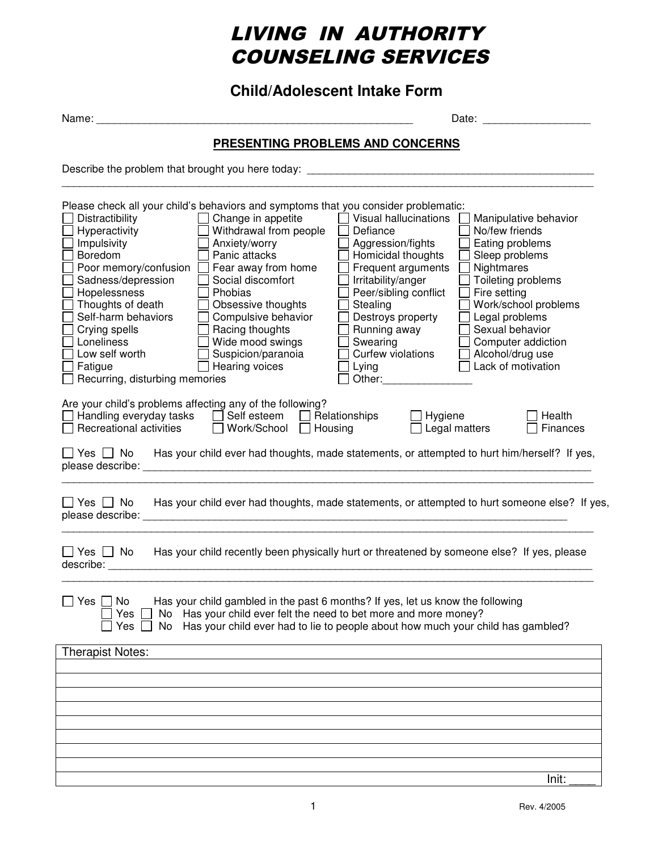# LIVING IN AUTHORITY COUNSELING SERVICES

**Child/Adolescent Intake Form**

Name: \_\_\_\_\_\_\_\_\_\_\_\_\_\_\_\_\_\_\_\_\_\_\_\_\_\_\_\_\_\_\_\_\_\_\_\_\_\_\_\_\_\_\_\_\_\_\_\_\_\_\_\_\_ Date: \_\_\_\_\_\_\_\_\_\_\_\_\_\_\_\_\_\_

\_\_\_\_\_\_\_\_\_\_\_\_\_\_\_\_\_\_\_\_\_\_\_\_\_\_\_\_\_\_\_\_\_\_\_\_\_\_\_\_\_\_\_\_\_\_\_\_\_\_\_\_\_\_\_\_\_\_\_\_\_\_\_\_\_\_\_\_\_\_\_\_\_\_\_\_\_\_\_\_\_\_\_\_\_\_\_\_\_

#### **PRESENTING PROBLEMS AND CONCERNS**

Describe the problem that brought you here today: \_\_\_\_\_\_\_\_\_\_\_\_\_\_\_\_\_\_\_\_\_\_\_\_\_\_\_\_\_\_\_\_\_\_\_\_\_\_\_\_\_\_\_\_\_\_\_\_

| Distractibility<br>Hyperactivity<br>Impulsivity<br>Boredom<br>Poor memory/confusion<br>Sadness/depression<br>Hopelessness<br>Thoughts of death<br>Self-harm behaviors<br>Crying spells<br>Loneliness<br>Low self worth<br>Fatigue<br>Recurring, disturbing memories | Please check all your child's behaviors and symptoms that you consider problematic:<br>Change in appetite<br>Withdrawal from people<br>Anxiety/worry<br>Panic attacks<br>Fear away from home<br>Social discomfort<br>Phobias<br>Obsessive thoughts<br>Compulsive behavior<br>Racing thoughts<br>Wide mood swings<br>Suspicion/paranoia<br>Hearing voices | $\Box$ Visual hallucinations<br>Defiance<br>Aggression/fights<br>Homicidal thoughts<br>Frequent arguments<br>Irritability/anger<br>Peer/sibling conflict<br>Stealing<br>Destroys property<br>Running away<br>Swearing<br>Curfew violations<br>Lying<br>Other:___________ | No/few friends<br>Eating problems<br>Sleep problems<br>Nightmares<br>Toileting problems<br>Fire setting<br>Legal problems<br>Sexual behavior<br>Computer addiction<br>Alcohol/drug use<br>Lack of motivation | Manipulative behavior<br>Work/school problems |
|---------------------------------------------------------------------------------------------------------------------------------------------------------------------------------------------------------------------------------------------------------------------|----------------------------------------------------------------------------------------------------------------------------------------------------------------------------------------------------------------------------------------------------------------------------------------------------------------------------------------------------------|--------------------------------------------------------------------------------------------------------------------------------------------------------------------------------------------------------------------------------------------------------------------------|--------------------------------------------------------------------------------------------------------------------------------------------------------------------------------------------------------------|-----------------------------------------------|
| Are your child's problems affecting any of the following?<br>Handling everyday tasks<br>Recreational activities                                                                                                                                                     | Self esteem<br>$\mathbf{L}$<br>Work/School $\Box$                                                                                                                                                                                                                                                                                                        | Relationships<br>Hygiene<br>Housing                                                                                                                                                                                                                                      | Legal matters                                                                                                                                                                                                | Health<br>Finances                            |
|                                                                                                                                                                                                                                                                     | $\Box$ Yes $\Box$ No Has your child ever had thoughts, made statements, or attempted to hurt him/herself? If yes,                                                                                                                                                                                                                                        |                                                                                                                                                                                                                                                                          |                                                                                                                                                                                                              |                                               |
| $\sqcap$ Yes $\sqcap$ No                                                                                                                                                                                                                                            | Has your child ever had thoughts, made statements, or attempted to hurt someone else? If yes,                                                                                                                                                                                                                                                            |                                                                                                                                                                                                                                                                          |                                                                                                                                                                                                              |                                               |
| │Yes □ No<br>describe:                                                                                                                                                                                                                                              | Has your child recently been physically hurt or threatened by someone else? If yes, please                                                                                                                                                                                                                                                               |                                                                                                                                                                                                                                                                          |                                                                                                                                                                                                              |                                               |
| No<br>Yes I<br>Yes<br>No                                                                                                                                                                                                                                            | Has your child gambled in the past 6 months? If yes, let us know the following<br>No Has your child ever felt the need to bet more and more money?<br>Has your child ever had to lie to people about how much your child has gambled?                                                                                                                    |                                                                                                                                                                                                                                                                          |                                                                                                                                                                                                              |                                               |
| <b>Therapist Notes:</b>                                                                                                                                                                                                                                             |                                                                                                                                                                                                                                                                                                                                                          |                                                                                                                                                                                                                                                                          |                                                                                                                                                                                                              |                                               |
|                                                                                                                                                                                                                                                                     |                                                                                                                                                                                                                                                                                                                                                          |                                                                                                                                                                                                                                                                          |                                                                                                                                                                                                              |                                               |
|                                                                                                                                                                                                                                                                     |                                                                                                                                                                                                                                                                                                                                                          |                                                                                                                                                                                                                                                                          |                                                                                                                                                                                                              |                                               |
|                                                                                                                                                                                                                                                                     |                                                                                                                                                                                                                                                                                                                                                          |                                                                                                                                                                                                                                                                          |                                                                                                                                                                                                              |                                               |
|                                                                                                                                                                                                                                                                     |                                                                                                                                                                                                                                                                                                                                                          |                                                                                                                                                                                                                                                                          |                                                                                                                                                                                                              |                                               |
|                                                                                                                                                                                                                                                                     |                                                                                                                                                                                                                                                                                                                                                          |                                                                                                                                                                                                                                                                          |                                                                                                                                                                                                              | Init:                                         |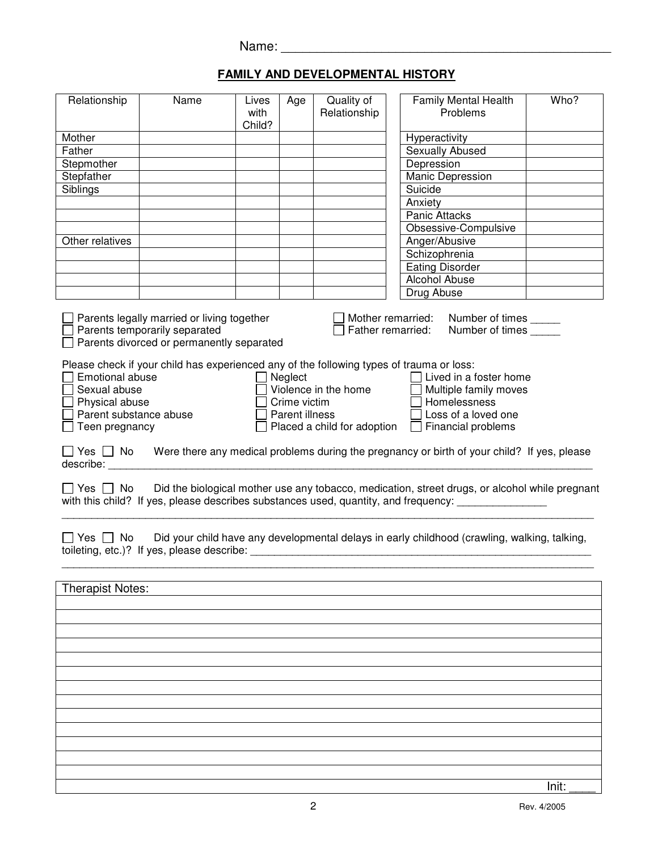### **FAMILY AND DEVELOPMENTAL HISTORY**

| Relationship                                                                                  | Name                                                                                                                     | Lives<br>with<br>Child? | Age                                       | Quality of<br>Relationship                          | Family Mental Health<br>Problems                                                                                                                                                      | Who?  |
|-----------------------------------------------------------------------------------------------|--------------------------------------------------------------------------------------------------------------------------|-------------------------|-------------------------------------------|-----------------------------------------------------|---------------------------------------------------------------------------------------------------------------------------------------------------------------------------------------|-------|
| Mother                                                                                        |                                                                                                                          |                         |                                           |                                                     | Hyperactivity                                                                                                                                                                         |       |
| Father                                                                                        |                                                                                                                          |                         |                                           |                                                     | Sexually Abused                                                                                                                                                                       |       |
| Stepmother                                                                                    |                                                                                                                          |                         |                                           |                                                     | Depression                                                                                                                                                                            |       |
|                                                                                               |                                                                                                                          |                         |                                           |                                                     |                                                                                                                                                                                       |       |
| Stepfather                                                                                    |                                                                                                                          |                         |                                           |                                                     | Manic Depression                                                                                                                                                                      |       |
| Siblings                                                                                      |                                                                                                                          |                         |                                           |                                                     | Suicide                                                                                                                                                                               |       |
|                                                                                               |                                                                                                                          |                         |                                           |                                                     | Anxiety                                                                                                                                                                               |       |
|                                                                                               |                                                                                                                          |                         |                                           |                                                     | Panic Attacks                                                                                                                                                                         |       |
|                                                                                               |                                                                                                                          |                         |                                           |                                                     | Obsessive-Compulsive                                                                                                                                                                  |       |
| Other relatives                                                                               |                                                                                                                          |                         |                                           |                                                     | Anger/Abusive                                                                                                                                                                         |       |
|                                                                                               |                                                                                                                          |                         |                                           |                                                     | Schizophrenia                                                                                                                                                                         |       |
|                                                                                               |                                                                                                                          |                         |                                           |                                                     | <b>Eating Disorder</b>                                                                                                                                                                |       |
|                                                                                               |                                                                                                                          |                         |                                           |                                                     | Alcohol Abuse                                                                                                                                                                         |       |
|                                                                                               |                                                                                                                          |                         |                                           |                                                     | Drug Abuse                                                                                                                                                                            |       |
|                                                                                               |                                                                                                                          |                         |                                           |                                                     |                                                                                                                                                                                       |       |
|                                                                                               | Parents legally married or living together<br>Parents temporarily separated<br>Parents divorced or permanently separated |                         |                                           |                                                     | Mother remarried:<br>Number of times<br>Father remarried:<br>Number of times                                                                                                          |       |
| Emotional abuse<br>Sexual abuse<br>Physical abuse<br>Parent substance abuse<br>Teen pregnancy | Please check if your child has experienced any of the following types of trauma or loss:                                 |                         | Neglect<br>Crime victim<br>Parent illness | Violence in the home<br>Placed a child for adoption | Lived in a foster home<br>Multiple family moves<br>Homelessness<br>Loss of a loved one<br>$\Box$ Financial problems                                                                   |       |
| describe:                                                                                     |                                                                                                                          |                         |                                           |                                                     | $\Box$ Yes $\Box$ No Were there any medical problems during the pregnancy or birth of your child? If yes, please                                                                      |       |
| _  Yes   _   No                                                                               |                                                                                                                          |                         |                                           |                                                     | Did the biological mother use any tobacco, medication, street drugs, or alcohol while pregnant<br>with this child? If yes, please describes substances used, quantity, and frequency: |       |
| Yes $\Box$ No                                                                                 | toileting, etc.)? If yes, please describe:                                                                               |                         |                                           |                                                     | Did your child have any developmental delays in early childhood (crawling, walking, talking,                                                                                          |       |
| <b>Therapist Notes:</b>                                                                       |                                                                                                                          |                         |                                           |                                                     |                                                                                                                                                                                       |       |
|                                                                                               |                                                                                                                          |                         |                                           |                                                     |                                                                                                                                                                                       |       |
|                                                                                               |                                                                                                                          |                         |                                           |                                                     |                                                                                                                                                                                       |       |
|                                                                                               |                                                                                                                          |                         |                                           |                                                     |                                                                                                                                                                                       |       |
|                                                                                               |                                                                                                                          |                         |                                           |                                                     |                                                                                                                                                                                       |       |
|                                                                                               |                                                                                                                          |                         |                                           |                                                     |                                                                                                                                                                                       |       |
|                                                                                               |                                                                                                                          |                         |                                           |                                                     |                                                                                                                                                                                       |       |
|                                                                                               |                                                                                                                          |                         |                                           |                                                     |                                                                                                                                                                                       |       |
|                                                                                               |                                                                                                                          |                         |                                           |                                                     |                                                                                                                                                                                       |       |
|                                                                                               |                                                                                                                          |                         |                                           |                                                     |                                                                                                                                                                                       |       |
|                                                                                               |                                                                                                                          |                         |                                           |                                                     |                                                                                                                                                                                       |       |
|                                                                                               |                                                                                                                          |                         |                                           |                                                     |                                                                                                                                                                                       |       |
|                                                                                               |                                                                                                                          |                         |                                           |                                                     |                                                                                                                                                                                       |       |
|                                                                                               |                                                                                                                          |                         |                                           |                                                     |                                                                                                                                                                                       | Init: |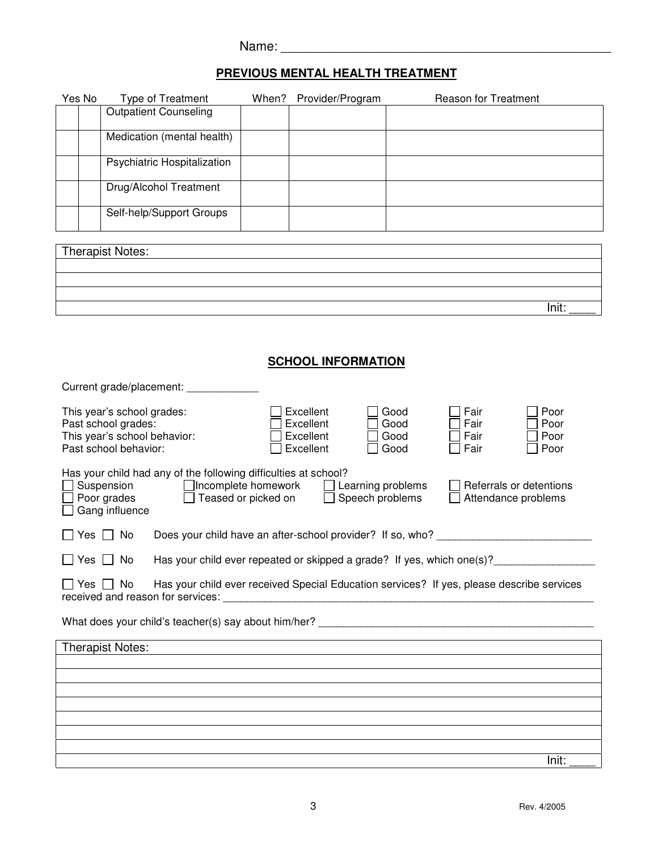| Name: |  |
|-------|--|
|       |  |

### **PREVIOUS MENTAL HEALTH TREATMENT**

| Yes No                                                                                                            | Type of Treatment                                                                                       | When? | Provider/Program                  |              | Reason for Treatment |                         |
|-------------------------------------------------------------------------------------------------------------------|---------------------------------------------------------------------------------------------------------|-------|-----------------------------------|--------------|----------------------|-------------------------|
|                                                                                                                   | <b>Outpatient Counseling</b>                                                                            |       |                                   |              |                      |                         |
|                                                                                                                   | Medication (mental health)                                                                              |       |                                   |              |                      |                         |
|                                                                                                                   | Psychiatric Hospitalization                                                                             |       |                                   |              |                      |                         |
|                                                                                                                   | Drug/Alcohol Treatment                                                                                  |       |                                   |              |                      |                         |
|                                                                                                                   | Self-help/Support Groups                                                                                |       |                                   |              |                      |                         |
|                                                                                                                   | Therapist Notes:                                                                                        |       |                                   |              |                      |                         |
|                                                                                                                   |                                                                                                         |       |                                   |              |                      |                         |
|                                                                                                                   |                                                                                                         |       |                                   |              |                      |                         |
|                                                                                                                   |                                                                                                         |       |                                   |              |                      | Init:                   |
|                                                                                                                   |                                                                                                         |       |                                   |              |                      |                         |
|                                                                                                                   |                                                                                                         |       | <b>SCHOOL INFORMATION</b>         |              |                      |                         |
|                                                                                                                   | Current grade/placement: ___________                                                                    |       |                                   |              |                      |                         |
|                                                                                                                   | This year's school grades:                                                                              |       | Excellent                         | Good         | Fair                 | Poor                    |
|                                                                                                                   | Past school grades:                                                                                     |       | Excellent                         | Good         | Fair                 | Poor                    |
|                                                                                                                   | This year's school behavior:<br>Past school behavior:                                                   |       | Excellent<br>Excellent            | Good<br>Good | Fair<br>Fair         | Poor<br>Poor            |
|                                                                                                                   | Has your child had any of the following difficulties at school?                                         |       |                                   |              |                      |                         |
|                                                                                                                   | Suspension □ Incomplete homework                                                                        |       | Learning problems<br>$\mathbf{L}$ |              |                      | Referrals or detentions |
| Poor grades<br>$\Box$ Teased or picked on<br>Speech problems<br>Attendance problems<br>Gang influence             |                                                                                                         |       |                                   |              |                      |                         |
| Does your child have an after-school provider? If so, who? _____________________<br>Yes $\Box$ No                 |                                                                                                         |       |                                   |              |                      |                         |
|                                                                                                                   | Has your child ever repeated or skipped a grade? If yes, which one(s)?________<br>Yes $  \cdot  $<br>No |       |                                   |              |                      |                         |
| Has your child ever received Special Education services? If yes, please describe services<br>$\Box$ Yes $\Box$ No |                                                                                                         |       |                                   |              |                      |                         |
|                                                                                                                   |                                                                                                         |       |                                   |              |                      |                         |
|                                                                                                                   | <b>Therapist Notes:</b>                                                                                 |       |                                   |              |                      |                         |
|                                                                                                                   |                                                                                                         |       |                                   |              |                      |                         |
|                                                                                                                   |                                                                                                         |       |                                   |              |                      |                         |
|                                                                                                                   |                                                                                                         |       |                                   |              |                      |                         |
|                                                                                                                   |                                                                                                         |       |                                   |              |                      |                         |
|                                                                                                                   |                                                                                                         |       |                                   |              |                      | Init:                   |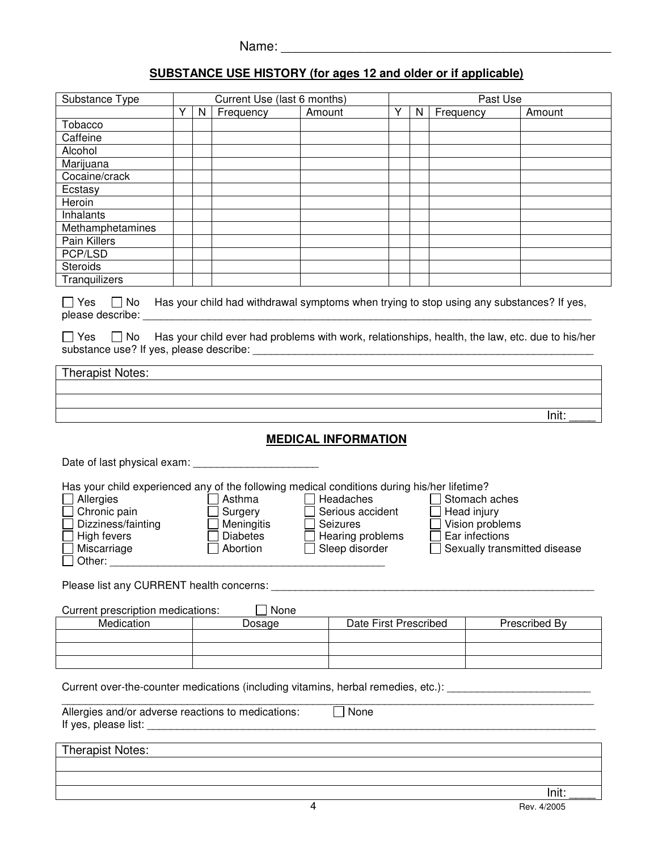## **SUBSTANCE USE HISTORY (for ages 12 and older or if applicable)**

| Substance Type                                                                                                                                                                                                                                                                                                                                                                                                                                   |                                           |   | Current Use (last 6 months)                                                                                                                                                                           |        | Past Use                   |   |   |           |  |               |
|--------------------------------------------------------------------------------------------------------------------------------------------------------------------------------------------------------------------------------------------------------------------------------------------------------------------------------------------------------------------------------------------------------------------------------------------------|-------------------------------------------|---|-------------------------------------------------------------------------------------------------------------------------------------------------------------------------------------------------------|--------|----------------------------|---|---|-----------|--|---------------|
|                                                                                                                                                                                                                                                                                                                                                                                                                                                  | Y                                         | N | Frequency                                                                                                                                                                                             | Amount |                            | Y | N | Frequency |  | Amount        |
| Tobacco                                                                                                                                                                                                                                                                                                                                                                                                                                          |                                           |   |                                                                                                                                                                                                       |        |                            |   |   |           |  |               |
| Caffeine                                                                                                                                                                                                                                                                                                                                                                                                                                         |                                           |   |                                                                                                                                                                                                       |        |                            |   |   |           |  |               |
| Alcohol                                                                                                                                                                                                                                                                                                                                                                                                                                          |                                           |   |                                                                                                                                                                                                       |        |                            |   |   |           |  |               |
| Marijuana                                                                                                                                                                                                                                                                                                                                                                                                                                        |                                           |   |                                                                                                                                                                                                       |        |                            |   |   |           |  |               |
| Cocaine/crack                                                                                                                                                                                                                                                                                                                                                                                                                                    |                                           |   |                                                                                                                                                                                                       |        |                            |   |   |           |  |               |
| Ecstasy                                                                                                                                                                                                                                                                                                                                                                                                                                          |                                           |   |                                                                                                                                                                                                       |        |                            |   |   |           |  |               |
| Heroin                                                                                                                                                                                                                                                                                                                                                                                                                                           |                                           |   |                                                                                                                                                                                                       |        |                            |   |   |           |  |               |
| Inhalants                                                                                                                                                                                                                                                                                                                                                                                                                                        |                                           |   |                                                                                                                                                                                                       |        |                            |   |   |           |  |               |
| Methamphetamines                                                                                                                                                                                                                                                                                                                                                                                                                                 |                                           |   |                                                                                                                                                                                                       |        |                            |   |   |           |  |               |
| Pain Killers                                                                                                                                                                                                                                                                                                                                                                                                                                     |                                           |   |                                                                                                                                                                                                       |        |                            |   |   |           |  |               |
| PCP/LSD                                                                                                                                                                                                                                                                                                                                                                                                                                          |                                           |   |                                                                                                                                                                                                       |        |                            |   |   |           |  |               |
| <b>Steroids</b>                                                                                                                                                                                                                                                                                                                                                                                                                                  |                                           |   |                                                                                                                                                                                                       |        |                            |   |   |           |  |               |
| Tranquilizers                                                                                                                                                                                                                                                                                                                                                                                                                                    |                                           |   |                                                                                                                                                                                                       |        |                            |   |   |           |  |               |
|                                                                                                                                                                                                                                                                                                                                                                                                                                                  |                                           |   |                                                                                                                                                                                                       |        |                            |   |   |           |  |               |
| $\Box$ Yes<br>l IYes<br>    No                                                                                                                                                                                                                                                                                                                                                                                                                   |                                           |   | $\Box$ No Has your child had withdrawal symptoms when trying to stop using any substances? If yes,<br>Has your child ever had problems with work, relationships, health, the law, etc. due to his/her |        |                            |   |   |           |  |               |
|                                                                                                                                                                                                                                                                                                                                                                                                                                                  |                                           |   |                                                                                                                                                                                                       |        |                            |   |   |           |  |               |
| <b>Therapist Notes:</b>                                                                                                                                                                                                                                                                                                                                                                                                                          |                                           |   |                                                                                                                                                                                                       |        |                            |   |   |           |  |               |
|                                                                                                                                                                                                                                                                                                                                                                                                                                                  |                                           |   |                                                                                                                                                                                                       |        |                            |   |   |           |  |               |
|                                                                                                                                                                                                                                                                                                                                                                                                                                                  |                                           |   |                                                                                                                                                                                                       |        |                            |   |   |           |  |               |
|                                                                                                                                                                                                                                                                                                                                                                                                                                                  |                                           |   |                                                                                                                                                                                                       |        |                            |   |   |           |  | Init:         |
|                                                                                                                                                                                                                                                                                                                                                                                                                                                  |                                           |   |                                                                                                                                                                                                       |        | <b>MEDICAL INFORMATION</b> |   |   |           |  |               |
| Date of last physical exam: ___________                                                                                                                                                                                                                                                                                                                                                                                                          |                                           |   |                                                                                                                                                                                                       |        |                            |   |   |           |  |               |
| Has your child experienced any of the following medical conditions during his/her lifetime?<br>Allergies<br>Asthma<br>Headaches<br>Stomach aches<br>Chronic pain<br>Serious accident<br>Head injury<br>Surgery<br>$\Box$ Vision problems<br>Dizziness/fainting<br>Meningitis<br>Seizures<br>High fevers<br>Diabetes<br>Ear infections<br>Hearing problems<br>Sleep disorder<br>Sexually transmitted disease<br>Miscarriage<br>Abortion<br>Other: |                                           |   |                                                                                                                                                                                                       |        |                            |   |   |           |  |               |
|                                                                                                                                                                                                                                                                                                                                                                                                                                                  |                                           |   |                                                                                                                                                                                                       |        |                            |   |   |           |  |               |
|                                                                                                                                                                                                                                                                                                                                                                                                                                                  | Current prescription medications:<br>None |   |                                                                                                                                                                                                       |        |                            |   |   |           |  |               |
| Medication                                                                                                                                                                                                                                                                                                                                                                                                                                       |                                           |   | Dosage                                                                                                                                                                                                |        | Date First Prescribed      |   |   |           |  | Prescribed By |
|                                                                                                                                                                                                                                                                                                                                                                                                                                                  |                                           |   |                                                                                                                                                                                                       |        |                            |   |   |           |  |               |
|                                                                                                                                                                                                                                                                                                                                                                                                                                                  |                                           |   |                                                                                                                                                                                                       |        |                            |   |   |           |  |               |
|                                                                                                                                                                                                                                                                                                                                                                                                                                                  |                                           |   |                                                                                                                                                                                                       |        |                            |   |   |           |  |               |
| Current over-the-counter medications (including vitamins, herbal remedies, etc.):<br>None<br>Allergies and/or adverse reactions to medications:                                                                                                                                                                                                                                                                                                  |                                           |   |                                                                                                                                                                                                       |        |                            |   |   |           |  |               |
|                                                                                                                                                                                                                                                                                                                                                                                                                                                  |                                           |   |                                                                                                                                                                                                       |        |                            |   |   |           |  |               |
| <b>Therapist Notes:</b>                                                                                                                                                                                                                                                                                                                                                                                                                          |                                           |   |                                                                                                                                                                                                       |        |                            |   |   |           |  |               |

Init: \_\_\_\_